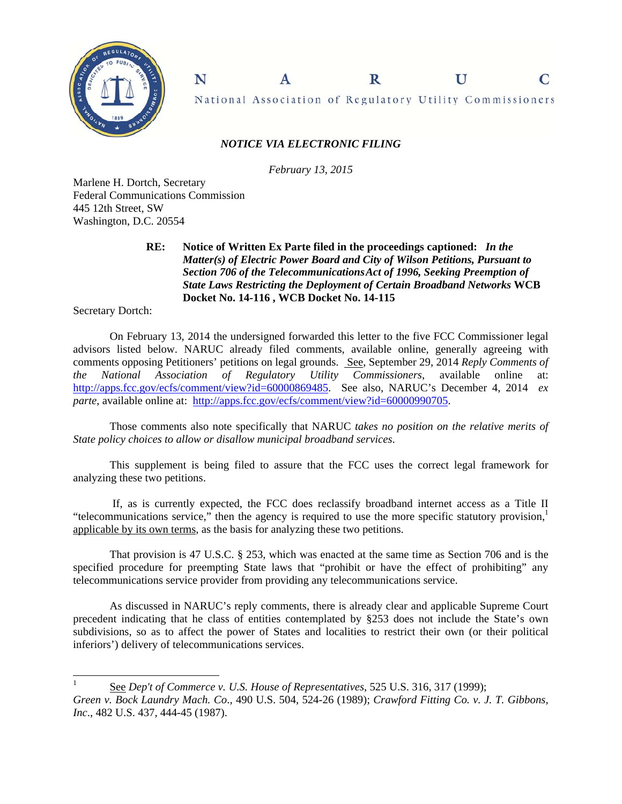

National Association of Regulatory Utility Commissioners

 $\mathbf R$ 

U

C

## *NOTICE VIA ELECTRONIC FILING*

 $\mathbf{A}$ 

*February 13, 2015* 

Marlene H. Dortch, Secretary Federal Communications Commission 445 12th Street, SW Washington, D.C. 20554

N

## **RE: Notice of Written Ex Parte filed in the proceedings captioned:** *In the Matter(s) of Electric Power Board and City of Wilson Petitions, Pursuant to* *Section 706 of the Telecommunications Act of 1996, Seeking Preemption of State Laws Restricting the Deployment of Certain Broadband Networks* **WCB Docket No. 14-116 , WCB Docket No. 14-115**

Secretary Dortch:

 $\overline{a}$ 

On February 13, 2014 the undersigned forwarded this letter to the five FCC Commissioner legal advisors listed below. NARUC already filed comments, available online, generally agreeing with comments opposing Petitioners' petitions on legal grounds. See, September 29, 2014 *Reply Comments of the National Association of Regulatory Utility Commissioners*, available online at: http://apps.fcc.gov/ecfs/comment/view?id=60000869485. See also, NARUC's December 4, 2014 *ex parte*, available online at: http://apps.fcc.gov/ecfs/comment/view?id=60000990705.

Those comments also note specifically that NARUC *takes no position on the relative merits of State policy choices to allow or disallow municipal broadband services*.

This supplement is being filed to assure that the FCC uses the correct legal framework for analyzing these two petitions.

 If, as is currently expected, the FCC does reclassify broadband internet access as a Title II "telecommunications service," then the agency is required to use the more specific statutory provision, $<sup>1</sup>$ </sup> applicable by its own terms, as the basis for analyzing these two petitions.

That provision is 47 U.S.C. § 253, which was enacted at the same time as Section 706 and is the specified procedure for preempting State laws that "prohibit or have the effect of prohibiting" any telecommunications service provider from providing any telecommunications service.

As discussed in NARUC's reply comments, there is already clear and applicable Supreme Court precedent indicating that he class of entities contemplated by §253 does not include the State's own subdivisions, so as to affect the power of States and localities to restrict their own (or their political inferiors') delivery of telecommunications services.

<sup>1</sup> See *Dep't of Commerce v. U.S. House of Representatives*, 525 U.S. 316, 317 (1999); *Green v. Bock Laundry Mach. Co*., 490 U.S. 504, 524-26 (1989); *Crawford Fitting Co. v. J. T. Gibbons, Inc*., 482 U.S. 437, 444-45 (1987).